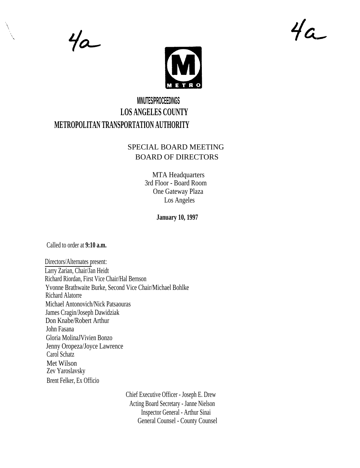$4a$ 





## **MINUTES/PROCEEDINGS LOS ANGELES COUNTY METROPOLITAN TRANSPORTATION AUTHORITY**

## SPECIAL BOARD MEETING BOARD OF DIRECTORS

MTA Headquarters 3rd Floor - Board Room One Gateway Plaza Los Angeles

**January 10, 1997**

Called to order at **9:10 a.m.**

Directors/Alternates present: Larry Zarian, Chair/Jan Heidt Richard Riordan, First Vice Chair/Hal Bernson Yvonne Brathwaite Burke, Second Vice Chair/Michael Bohlke Richard Alatorre Michael Antonovich/Nick Patsaouras James Cragin/Joseph Dawidziak Don Knabe/Robert Arthur John Fasana Gloria MolinaJVivien Bonzo Jenny Oropeza/Joyce Lawrence Carol Schatz Met Wilson Zev Yaroslavsky Brent Felker, Ex Officio

> Chief Executive Officer - Joseph E. Drew Acting Board Secretary - Janne Nielson Inspector General - Arthur Sinai General Counsel - County Counsel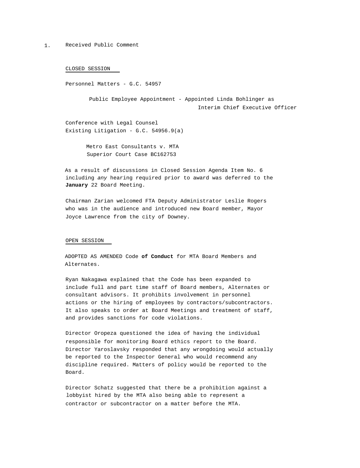1. Received Public Comment

CLOSED SESSION

Personnel Matters - G.C. 54957

Public Employee Appointment - Appointed Linda Bohlinger as Interim Chief Executive Officer

Conference with Legal Counsel Existing Litigation - G.C. 54956.9(a)

> Metro East Consultants v. MTA Superior Court Case BC162753

As a result of discussions in Closed Session Agenda Item No. 6 including any hearing required prior to award was deferred to the **January** 22 Board Meeting.

Chairman Zarian welcomed FTA Deputy Administrator Leslie Rogers who was in the audience and introduced new Board member, Mayor Joyce Lawrence from the city of Downey.

## OPEN SESSION

ADOPTED AS AMENDED Code **of Conduct** for MTA Board Members and Alternates.

Ryan Nakagawa explained that the Code has been expanded to include full and part time staff of Board members, Alternates or consultant advisors. It prohibits involvement in personnel actions or the hiring of employees by contractors/subcontractors. It also speaks to order at Board Meetings and treatment of staff, and provides sanctions for code violations.

Director Oropeza questioned the idea of having the individual responsible for monitoring Board ethics report to the Board. Director Yaroslavsky responded that any wrongdoing would actually be reported to the Inspector General who would recommend any discipline required. Matters of policy would be reported to the Board.

Director Schatz suggested that there be a prohibition against a lobbyist hired by the MTA also being able to represent a contractor or subcontractor on a matter before the MTA.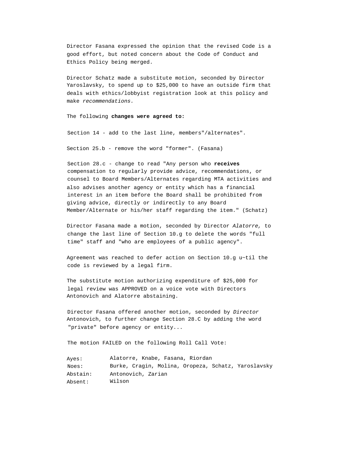Director Fasana expressed the opinion that the revised Code is a good effort, but noted concern about the Code of Conduct and Ethics Policy being merged.

Director Schatz made a substitute motion, seconded by Director Yaroslavsky, to spend up to \$25,000 to have an outside firm that deals with ethics/lobbyist registration look at this policy and make recommendations.

The following **changes were agreed to:**

Section 14 - add to the last line, members"/alternates".

Section 25.b - remove the word "former". (Fasana)

Section 28.c - change to read "Any person who **receives** compensation to regularly provide advice, recommendations, or counsel to Board Members/Alternates regarding MTA activities and also advises another agency or entity which has a financial interest in an item before the Board shall be prohibited from giving advice, directly or indirectly to any Board Member/Alternate or his/her staff regarding the item." (Schatz)

Director Fasana made a motion, seconded by Director Alatorre, to change the last line of Section 10.g to delete the words "full time" staff and "who are employees of a public agency".

Agreement was reached to defer action on Section 10.g u~til the code is reviewed by a legal firm.

The substitute motion authorizing expenditure of \$25,000 for legal review was APPROVED on a voice vote with Directors Antonovich and Alatorre abstaining.

Director Fasana offered another motion, seconded by Director Antonovich, to further change Section 28.C by adding the word "private" before agency or entity...

The motion FAILED on the following Roll Call Vote:

| Ayes:    | Alatorre, Knabe, Fasana, Riordan                    |  |  |
|----------|-----------------------------------------------------|--|--|
| Noes:    | Burke, Cragin, Molina, Oropeza, Schatz, Yaroslavsky |  |  |
| Abstain: | Antonovich, Zarian                                  |  |  |
| Absent:  | Wilson                                              |  |  |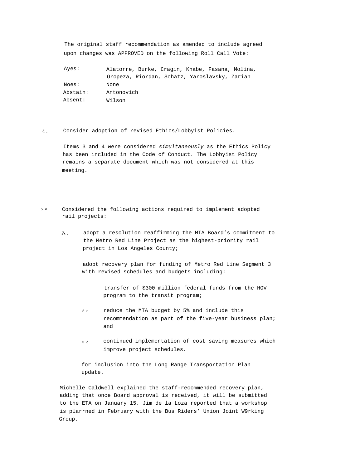The original staff recommendation as amended to include agreed upon changes was APPROVED on the following Roll Call Vote:

| Ayes:    | Alatorre, Burke, Cragin, Knabe, Fasana, Molina, |
|----------|-------------------------------------------------|
|          | Oropeza, Riordan, Schatz, Yaroslavsky, Zarian   |
| Noes:    | None                                            |
| Abstain: | Antonovich                                      |
| Absent:  | Wilson                                          |

 $4.$ Consider adoption of revised Ethics/Lobbyist Policies.

> Items 3 and 4 were considered simultaneously as the Ethics Policy has been included in the Code of Conduct. The Lobbyist Policy remains a separate document which was not considered at this meeting.

- 5 o Considered the following actions required to implement adopted rail projects:
	- Α. adopt a resolution reaffirming the MTA Board's commitment to the Metro Red Line Project as the highest-priority rail project in Los Angeles County;

adopt recovery plan for funding of Metro Red Line Segment 3 with revised schedules and budgets including:

> transfer of \$300 million federal funds from the HOV program to the transit program;

- 2 o reduce the MTA budget by 5% and include this recommendation as part of the five-year business plan; and
- 3 o continued implementation of cost saving measures which improve project schedules.

for inclusion into the Long Range Transportation Plan update.

Michelle Caldwell explained the staff-recommended recovery plan, adding that once Board approval is received, it will be submitted to the ETA on January 15. Jim de la Loza reported that a workshop is plarrned in February with the Bus Riders' Union Joint W9rking Group.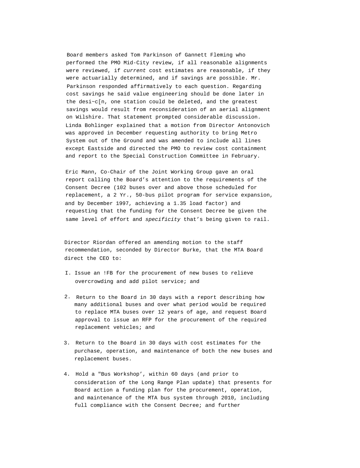Board members asked Tom Parkinson of Gannett Fleming who performed the PMO Mid-City review, if all reasonable alignments were reviewed, if current cost estimates are reasonable, if they were actuarially determined, and if savings are possible. Mr. Parkinson responded affirmatively to each question. Regarding cost savings he said value engineering should be done later in the desi~c[n, one station could be deleted, and the greatest savings would result from reconsideration of an aerial alignment on Wilshire. That statement prompted considerable discussion. Linda Bohlinger explained that a motion from Director Antonovich was approved in December requesting authority to bring Metro System out of the Ground and was amended to include all lines except Eastside and directed the PMO to review cost containment and report to the Special Construction Committee in February.

Eric Mann, Co-Chair of the Joint Working Group gave an oral report calling the Board's attention to the requirements of the Consent Decree (102 buses over and above those scheduled for replacement, a 2 Yr., 50-bus pilot program for service expansion, and by December 1997, achieving a 1.35 load factor) and requesting that the funding for the Consent Decree be given the same level of effort and specificity that's being given to rail.

Director Riordan offered an amending motion to the staff recommendation, seconded by Director Burke, that the MTA Board direct the CEO to:

- I. Issue an !FB for the procurement of new buses to relieve overcrowding and add pilot service; and
- 2. Return to the Board in 30 days with a report describing how many additional buses and over what period would be required to replace MTA buses over 12 years of age, and request Board approval to issue an RFP for the procurement of the required replacement vehicles; and
- 3. Return to the Board in 30 days with cost estimates for the purchase, operation, and maintenance of both the new buses and replacement buses.
- 4. Hold a "Bus Workshop', within 60 days (and prior to consideration of the Long Range Plan update) that presents for Board action a funding plan for the procurement, operation, and maintenance of the MTA bus system through 2010, including full compliance with the Consent Decree; and further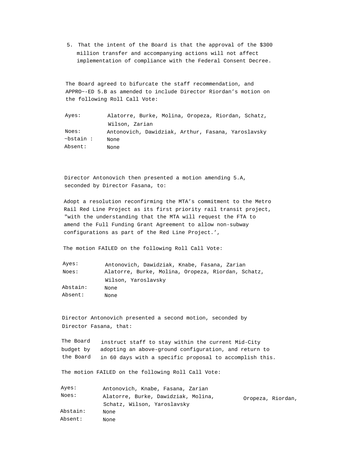5. That the intent of the Board is that the approval of the \$300 million transfer and accompanying actions will not affect implementation of compliance with the Federal Consent Decree.

The Board agreed to bifurcate the staff recommendation, and APPRO~-ED 5.B as amended to include Director Riordan's motion on the following Roll Call Vote:

| Ayes:          | Alatorre, Burke, Molina, Oropeza, Riordan, Schatz, |
|----------------|----------------------------------------------------|
|                | Wilson, Zarian                                     |
| Noes:          | Antonovich, Dawidziak, Arthur, Fasana, Yaroslavsky |
| $\sim$ bstain: | None                                               |
| Absent:        | None                                               |

Director Antonovich then presented a motion amending 5.A, seconded by Director Fasana, to:

Adopt a resolution reconfirming the MTA's commitment to the Metro Rail Red Line Project as its first priority rail transit project, "with the understanding that the MTA will request the FTA to amend the Full Funding Grant Agreement to allow non-subway configurations as part of the Red Line Project.',

The motion FAILED on the following Roll Call Vote:

| Ayes:    | Antonovich, Dawidziak, Knabe, Fasana, Zarian       |
|----------|----------------------------------------------------|
| Noes:    | Alatorre, Burke, Molina, Oropeza, Riordan, Schatz, |
|          | Wilson, Yaroslavsky                                |
| Abstain: | None                                               |
| Absent:  | None                                               |

Director Antonovich presented a second motion, seconded by Director Fasana, that:

The Board budget by the Board instruct staff to stay within the current Mid-City adopting an above-ground configuration, and return to in 60 days with a specific proposal to accomplish this.

The motion FAILED on the following Roll Call Vote:

| Ayes:    | Antonovich, Knabe, Fasana, Zarian   |                   |
|----------|-------------------------------------|-------------------|
| Noes:    | Alatorre, Burke, Dawidziak, Molina, | Oropeza, Riordan, |
|          | Schatz, Wilson, Yaroslavsky         |                   |
| Abstain: | None                                |                   |
| Absent:  | None                                |                   |